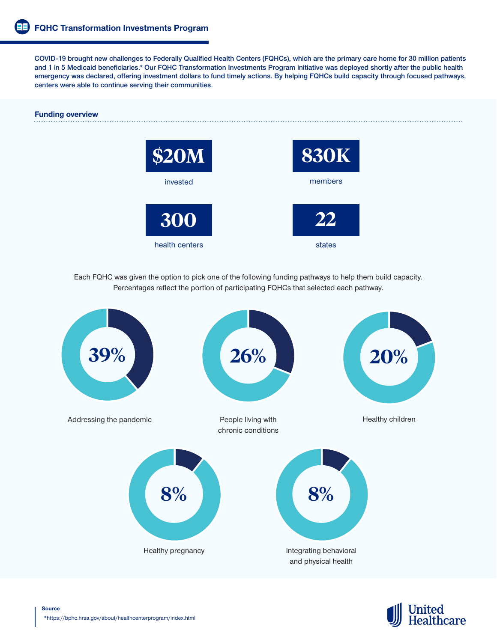**COVID-19 brought new challenges to Federally Qualified Health Centers (FQHCs), which are the primary care home for 30 million patients and 1 in 5 Medicaid beneficiaries.\* Our FQHC Transformation Investments Program initiative was deployed shortly after the public health emergency was declared, offering investment dollars to fund timely actions. By helping FQHCs build capacity through focused pathways, centers were able to continue serving their communities.**

# **Funding overview**



Each FQHC was given the option to pick one of the following funding pathways to help them build capacity. Percentages reflect the portion of participating FQHCs that selected each pathway.